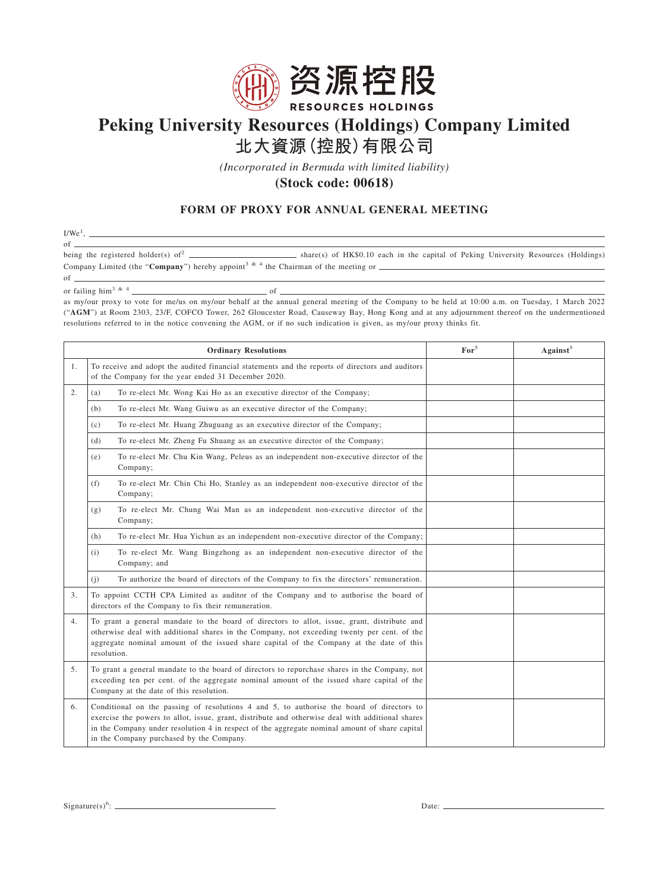

## **Peking University Resources (Holdings) Company Limited 北大資源(控股)有限公司**

*(Incorporated in Bermuda with limited liability)*

**(Stock code: 00618)**

## **FORM OF PROXY FOR ANNUAL GENERAL MEETING**

 $I/We<sup>1</sup>$ , of  $\frac{1}{\text{being the registered holder}(s) \text{ of}^2}$  $b =$  share(s) of HK\$0.10 each in the capital of Peking University Resources (Holdings) Company Limited (the "**Company**") hereby appoint<sup>3 & 4</sup> the Chairman of the meeting or  $\frac{1}{\sqrt{1-\frac{1}{n}}}\left| \frac{1}{n} \right|$ of

or failing him3&4 of

as my/our proxy to vote for me/us on my/our behalf at the annual general meeting of the Company to be held at 10:00 a.m. on Tuesday, 1 March 2022 ("**AGM**") at Room 2303, 23/F, COFCO Tower, 262 Gloucester Road, Causeway Bay, Hong Kong and at any adjournment thereof on the undermentioned resolutions referred to in the notice convening the AGM, or if no such indication is given, as my/our proxy thinks fit.

| <b>Ordinary Resolutions</b> |                                                                                                                                                                                                                                                                                                                                            | $\mathbf{For}^5$ | Against <sup>5</sup> |
|-----------------------------|--------------------------------------------------------------------------------------------------------------------------------------------------------------------------------------------------------------------------------------------------------------------------------------------------------------------------------------------|------------------|----------------------|
| 1.                          | To receive and adopt the audited financial statements and the reports of directors and auditors<br>of the Company for the year ended 31 December 2020.                                                                                                                                                                                     |                  |                      |
| 2.                          | To re-elect Mr. Wong Kai Ho as an executive director of the Company;<br>(a)                                                                                                                                                                                                                                                                |                  |                      |
|                             | To re-elect Mr. Wang Guiwu as an executive director of the Company;<br>(b)                                                                                                                                                                                                                                                                 |                  |                      |
|                             | To re-elect Mr. Huang Zhuguang as an executive director of the Company;<br>(c)                                                                                                                                                                                                                                                             |                  |                      |
|                             | To re-elect Mr. Zheng Fu Shuang as an executive director of the Company;<br>(d)                                                                                                                                                                                                                                                            |                  |                      |
|                             | To re-elect Mr. Chu Kin Wang, Peleus as an independent non-executive director of the<br>(e)<br>Company;                                                                                                                                                                                                                                    |                  |                      |
|                             | To re-elect Mr. Chin Chi Ho, Stanley as an independent non-executive director of the<br>(f)<br>Company;                                                                                                                                                                                                                                    |                  |                      |
|                             | To re-elect Mr. Chung Wai Man as an independent non-executive director of the<br>(g)<br>Company;                                                                                                                                                                                                                                           |                  |                      |
|                             | To re-elect Mr. Hua Yichun as an independent non-executive director of the Company;<br>(h)                                                                                                                                                                                                                                                 |                  |                      |
|                             | To re-elect Mr. Wang Bingzhong as an independent non-executive director of the<br>(i)<br>Company; and                                                                                                                                                                                                                                      |                  |                      |
|                             | To authorize the board of directors of the Company to fix the directors' remuneration.<br>(i)                                                                                                                                                                                                                                              |                  |                      |
| 3.                          | To appoint CCTH CPA Limited as auditor of the Company and to authorise the board of<br>directors of the Company to fix their remuneration.                                                                                                                                                                                                 |                  |                      |
| 4.                          | To grant a general mandate to the board of directors to allot, issue, grant, distribute and<br>otherwise deal with additional shares in the Company, not exceeding twenty per cent. of the<br>aggregate nominal amount of the issued share capital of the Company at the date of this<br>resolution.                                       |                  |                      |
| 5.                          | To grant a general mandate to the board of directors to repurchase shares in the Company, not<br>exceeding ten per cent. of the aggregate nominal amount of the issued share capital of the<br>Company at the date of this resolution.                                                                                                     |                  |                      |
| 6.                          | Conditional on the passing of resolutions 4 and 5, to authorise the board of directors to<br>exercise the powers to allot, issue, grant, distribute and otherwise deal with additional shares<br>in the Company under resolution 4 in respect of the aggregate nominal amount of share capital<br>in the Company purchased by the Company. |                  |                      |